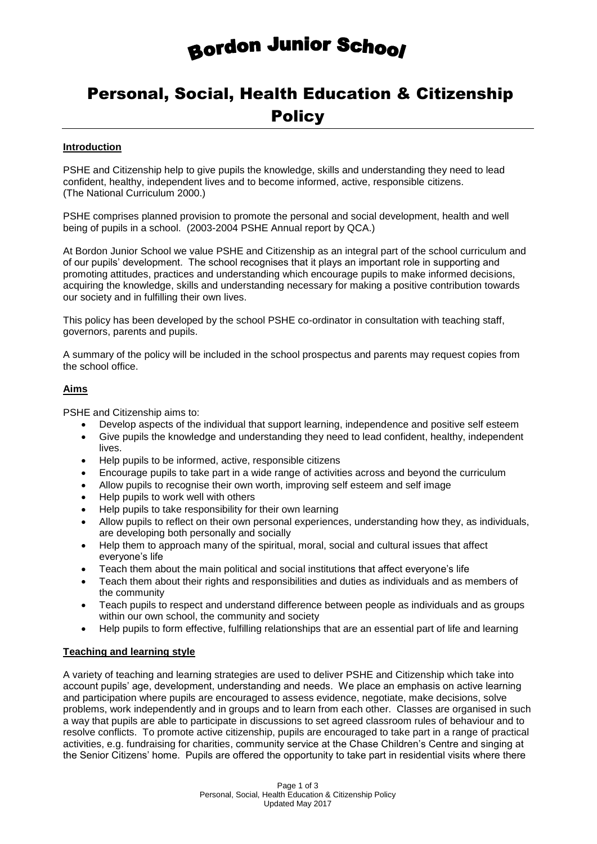# **Bordon Junior School**

# Personal, Social, Health Education & Citizenship **Policy**

#### **Introduction**

PSHE and Citizenship help to give pupils the knowledge, skills and understanding they need to lead confident, healthy, independent lives and to become informed, active, responsible citizens. (The National Curriculum 2000.)

PSHE comprises planned provision to promote the personal and social development, health and well being of pupils in a school. (2003-2004 PSHE Annual report by QCA.)

At Bordon Junior School we value PSHE and Citizenship as an integral part of the school curriculum and of our pupils' development. The school recognises that it plays an important role in supporting and promoting attitudes, practices and understanding which encourage pupils to make informed decisions, acquiring the knowledge, skills and understanding necessary for making a positive contribution towards our society and in fulfilling their own lives.

This policy has been developed by the school PSHE co-ordinator in consultation with teaching staff, governors, parents and pupils.

A summary of the policy will be included in the school prospectus and parents may request copies from the school office.

#### **Aims**

PSHE and Citizenship aims to:

- Develop aspects of the individual that support learning, independence and positive self esteem
- Give pupils the knowledge and understanding they need to lead confident, healthy, independent lives.
- Help pupils to be informed, active, responsible citizens
- Encourage pupils to take part in a wide range of activities across and beyond the curriculum
- Allow pupils to recognise their own worth, improving self esteem and self image
- Help pupils to work well with others
- Help pupils to take responsibility for their own learning
- Allow pupils to reflect on their own personal experiences, understanding how they, as individuals, are developing both personally and socially
- Help them to approach many of the spiritual, moral, social and cultural issues that affect everyone's life
- Teach them about the main political and social institutions that affect everyone's life
- Teach them about their rights and responsibilities and duties as individuals and as members of the community
- Teach pupils to respect and understand difference between people as individuals and as groups within our own school, the community and society
- Help pupils to form effective, fulfilling relationships that are an essential part of life and learning

#### **Teaching and learning style**

A variety of teaching and learning strategies are used to deliver PSHE and Citizenship which take into account pupils' age, development, understanding and needs. We place an emphasis on active learning and participation where pupils are encouraged to assess evidence, negotiate, make decisions, solve problems, work independently and in groups and to learn from each other. Classes are organised in such a way that pupils are able to participate in discussions to set agreed classroom rules of behaviour and to resolve conflicts. To promote active citizenship, pupils are encouraged to take part in a range of practical activities, e.g. fundraising for charities, community service at the Chase Children's Centre and singing at the Senior Citizens' home. Pupils are offered the opportunity to take part in residential visits where there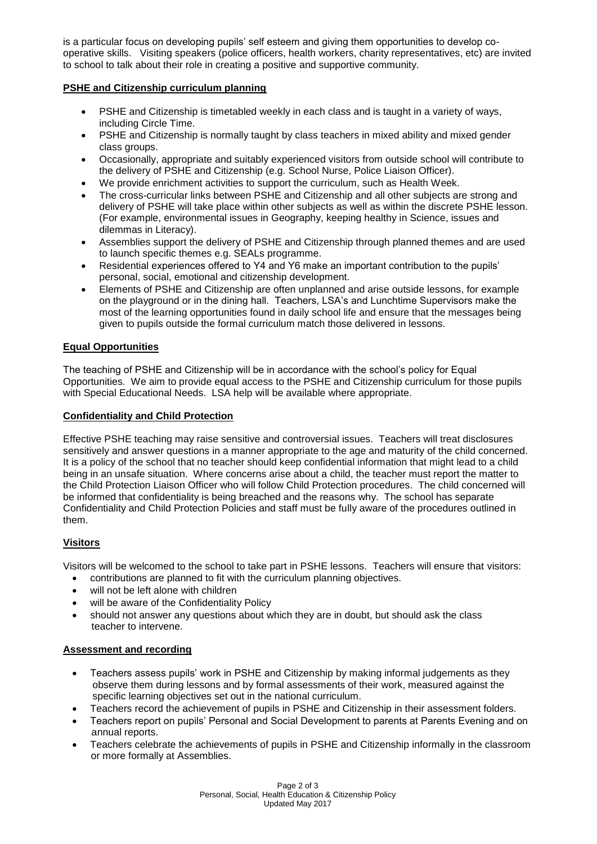is a particular focus on developing pupils' self esteem and giving them opportunities to develop cooperative skills. Visiting speakers (police officers, health workers, charity representatives, etc) are invited to school to talk about their role in creating a positive and supportive community.

#### **PSHE and Citizenship curriculum planning**

- PSHE and Citizenship is timetabled weekly in each class and is taught in a variety of ways, including Circle Time.
- PSHE and Citizenship is normally taught by class teachers in mixed ability and mixed gender class groups.
- Occasionally, appropriate and suitably experienced visitors from outside school will contribute to the delivery of PSHE and Citizenship (e.g. School Nurse, Police Liaison Officer).
- We provide enrichment activities to support the curriculum, such as Health Week.
- The cross-curricular links between PSHE and Citizenship and all other subjects are strong and delivery of PSHE will take place within other subjects as well as within the discrete PSHE lesson. (For example, environmental issues in Geography, keeping healthy in Science, issues and dilemmas in Literacy).
- Assemblies support the delivery of PSHE and Citizenship through planned themes and are used to launch specific themes e.g. SEALs programme.
- Residential experiences offered to Y4 and Y6 make an important contribution to the pupils' personal, social, emotional and citizenship development.
- Elements of PSHE and Citizenship are often unplanned and arise outside lessons, for example on the playground or in the dining hall. Teachers, LSA's and Lunchtime Supervisors make the most of the learning opportunities found in daily school life and ensure that the messages being given to pupils outside the formal curriculum match those delivered in lessons.

## **Equal Opportunities**

The teaching of PSHE and Citizenship will be in accordance with the school's policy for Equal Opportunities. We aim to provide equal access to the PSHE and Citizenship curriculum for those pupils with Special Educational Needs. LSA help will be available where appropriate.

#### **Confidentiality and Child Protection**

Effective PSHE teaching may raise sensitive and controversial issues. Teachers will treat disclosures sensitively and answer questions in a manner appropriate to the age and maturity of the child concerned. It is a policy of the school that no teacher should keep confidential information that might lead to a child being in an unsafe situation. Where concerns arise about a child, the teacher must report the matter to the Child Protection Liaison Officer who will follow Child Protection procedures. The child concerned will be informed that confidentiality is being breached and the reasons why. The school has separate Confidentiality and Child Protection Policies and staff must be fully aware of the procedures outlined in them.

# **Visitors**

Visitors will be welcomed to the school to take part in PSHE lessons. Teachers will ensure that visitors:

- contributions are planned to fit with the curriculum planning objectives.
- will not be left alone with children
- will be aware of the Confidentiality Policy
- should not answer any questions about which they are in doubt, but should ask the class teacher to intervene.

#### **Assessment and recording**

- Teachers assess pupils' work in PSHE and Citizenship by making informal judgements as they observe them during lessons and by formal assessments of their work, measured against the specific learning objectives set out in the national curriculum.
- Teachers record the achievement of pupils in PSHE and Citizenship in their assessment folders.
- Teachers report on pupils' Personal and Social Development to parents at Parents Evening and on annual reports.
- Teachers celebrate the achievements of pupils in PSHE and Citizenship informally in the classroom or more formally at Assemblies.